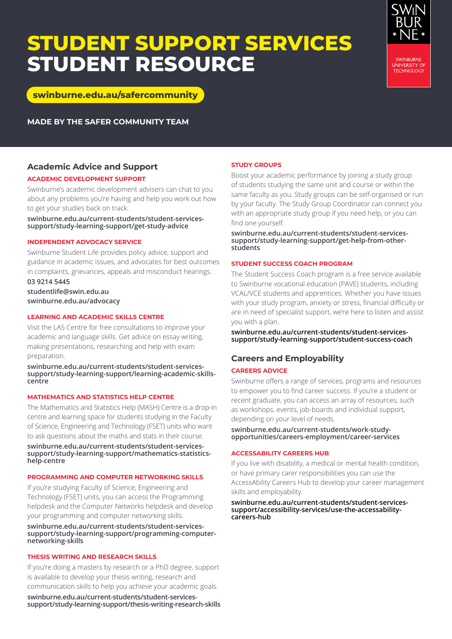## **STUDENT SUPPORT SERVICES STUDENT RESOURCE**



**[swinburne.edu.au/safercommunity](http://www.swinburne.edu.au/safercommunity)**

**MADE BY THE SAFER COMMUNITY TEAM**

## **Academic Advice and Support**

#### **ACADEMIC DEVELOPMENT SUPPORT**

Swinburne's academic development advisers can chat to you about any problems you're having and help you work out how to get your studies back on track.

**[swinburne.edu.au/current-students/student-services](https://www.swinburne.edu.au/current-students/student-services-support/study-learning-support/get-study-advice)[support/study-learning-support/get-study-advice](https://www.swinburne.edu.au/current-students/student-services-support/study-learning-support/get-study-advice)**

#### **INDEPENDENT ADVOCACY SERVICE**

Swinburne Student Life provides policy advice, support and guidance in academic issues, and advocates for best outcomes in complaints, grievances, appeals and misconduct hearings.

**03 9214 5445 [studentlife@swin.edu.au](mailto:studentlife%40swin.edu.au?subject=)  [swinburne.edu.au/advocacy](http://swinburne.edu.au/advocacy)**

#### **LEARNING AND ACADEMIC SKILLS CENTRE**

Visit the LAS Centre for free consultations to improve your academic and language skills. Get advice on essay writing, making presentations, researching and help with exam preparation.

**[swinburne.edu.au/current-students/student-services](https://www.swinburne.edu.au/current-students/student-services-support/study-learning-support/learning-academic-skills-centre)[support/study-learning-support/learning-academic-skills](https://www.swinburne.edu.au/current-students/student-services-support/study-learning-support/learning-academic-skills-centre)[centre](https://www.swinburne.edu.au/current-students/student-services-support/study-learning-support/learning-academic-skills-centre)**

#### **MATHEMATICS AND STATISTICS HELP CENTRE**

The Mathematics and Statistics Help (MASH) Centre is a drop-in centre and learning space for students studying in the Faculty of Science, Engineering and Technology (FSET) units who want to ask questions about the maths and stats in their course.

**[swinburne.edu.au/current-students/student-services](https://www.swinburne.edu.au/current-students/student-services-support/study-learning-support/mathematics-statistics-help-centre)[support/study-learning-support/mathematics-statistics](https://www.swinburne.edu.au/current-students/student-services-support/study-learning-support/mathematics-statistics-help-centre)[help-centre](https://www.swinburne.edu.au/current-students/student-services-support/study-learning-support/mathematics-statistics-help-centre)**

#### **PROGRAMMING AND COMPUTER NETWORKING SKILLS**

If you're studying Faculty of Science, Engineering and Technology (FSET) units, you can access the Programming helpdesk and the Computer Networks helpdesk and develop your programming and computer networking skills.

#### **[swinburne.edu.au/current-students/student-services](https://www.swinburne.edu.au/current-students/student-services-support/study-learning-support/programming-computer-networking-skills)[support/study-learning-support/programming-computer](https://www.swinburne.edu.au/current-students/student-services-support/study-learning-support/programming-computer-networking-skills)[networking-skills](https://www.swinburne.edu.au/current-students/student-services-support/study-learning-support/programming-computer-networking-skills)**

#### **THESIS WRITING AND RESEARCH SKILLS**

If you're doing a masters by research or a PhD degree, support is available to develop your thesis writing, research and communication skills to help you achieve your academic goals.

**[swinburne.edu.au/current-students/student-services](https://www.swinburne.edu.au/current-students/student-services-support/study-learning-support/thesis-writing-research-skills)[support/study-learning-support/thesis-writing-research-skills](https://www.swinburne.edu.au/current-students/student-services-support/study-learning-support/thesis-writing-research-skills)**

#### **STUDY GROUPS**

Boost your academic performance by joining a study group of students studying the same unit and course or within the same faculty as you. Study groups can be self-organised or run by your faculty. The Study Group Coordinator can connect you with an appropriate study group if you need help, or you can find one yourself.

#### **[swinburne.edu.au/current-students/student-services](https://www.swinburne.edu.au/current-students/student-services-support/study-learning-support/get-help-from-other-students)[support/study-learning-support/get-help-from-other](https://www.swinburne.edu.au/current-students/student-services-support/study-learning-support/get-help-from-other-students)[students](https://www.swinburne.edu.au/current-students/student-services-support/study-learning-support/get-help-from-other-students)**

#### **STUDENT SUCCESS COACH PROGRAM**

The Student Success Coach program is a free service available to Swinburne vocational education (PAVE) students, including VCAL/VCE students and apprentices. Whether you have issues with your study program, anxiety or stress, financial difficulty or are in need of specialist support, we're here to listen and assist you with a plan.

**[swinburne.edu.au/current-students/student-services](https://www.swinburne.edu.au/current-students/student-services-support/study-learning-support/student-success-coach)[support/study-learning-support/student-success-coach](https://www.swinburne.edu.au/current-students/student-services-support/study-learning-support/student-success-coach)**

## **Careers and Employability**

#### **CAREERS ADVICE**

Swinburne offers a range of services, programs and resources to empower you to find career success. If you're a student or recent graduate, you can access an array of resources, such as workshops, events, job-boards and individual support, depending on your level of needs.

**[swinburne.edu.au/current-students/work-study](http://swinburne.edu.au/current-students/work-study-opportunities/careers-employment/career-services)[opportunities/careers-employment/career-services](http://swinburne.edu.au/current-students/work-study-opportunities/careers-employment/career-services)**

#### **ACCESSABILITY CAREERS HUB**

If you live with disability, a medical or mental health condition, or have primary carer responsibilities you can use the AccessAbility Careers Hub to develop your career management skills and employability.

**[swinburne.edu.au/current-students/student-services](https://www.swinburne.edu.au/current-students/student-services-support/accessibility-services/use-the-accessability-careers-hub)[support/accessibility-services/use-the-accessability](https://www.swinburne.edu.au/current-students/student-services-support/accessibility-services/use-the-accessability-careers-hub)[careers-hub](https://www.swinburne.edu.au/current-students/student-services-support/accessibility-services/use-the-accessability-careers-hub)**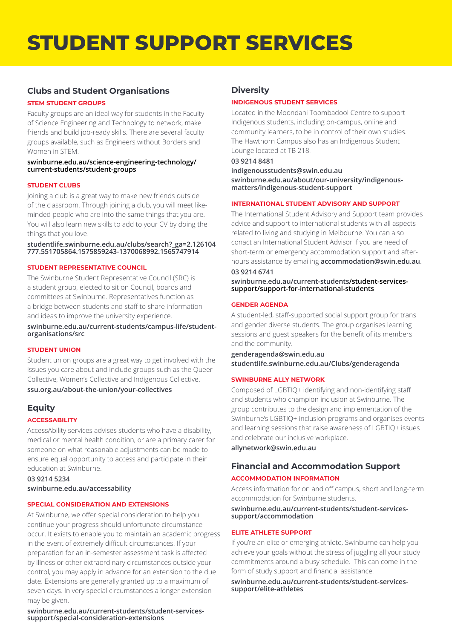## **STUDENT SUPPORT SERVICES**

## **Clubs and Student Organisations**

#### **STEM STUDENT GROUPS**

Faculty groups are an ideal way for students in the Faculty of Science Engineering and Technology to network, make friends and build job-ready skills. There are several faculty groups available, such as Engineers without Borders and Women in STEM.

#### **[swinburne.edu.au/science-engineering-technology/](https://www.swinburne.edu.au/science-engineering-technology/current-students/student-groups/) [current-students/student-groups](https://www.swinburne.edu.au/science-engineering-technology/current-students/student-groups/)**

#### **STUDENT CLUBS**

Joining a club is a great way to make new friends outside of the classroom. Through joining a club, you will meet likeminded people who are into the same things that you are. You will also learn new skills to add to your CV by doing the things that you love.

#### **[studentlife.swinburne.edu.au/clubs/search?\\_ga=2.126104](http://studentlife.swinburne.edu.au/clubs/search?_ga=2.126104777.551705864.1575859243-1370068992.1565747914) [777.551705864.1575859243-1370068992.1565747914](http://studentlife.swinburne.edu.au/clubs/search?_ga=2.126104777.551705864.1575859243-1370068992.1565747914)**

#### **STUDENT REPRESENTATIVE COUNCIL**

The Swinburne Student Representative Council (SRC) is a student group, elected to sit on Council, boards and committees at Swinburne. Representatives function as a bridge between students and staff to share information and ideas to improve the university experience.

**[swinburne.edu.au/current-students/campus-life/student](http://swinburne.edu.au/current-students/campus-life/student-organisations/src/)[organisations/src](http://swinburne.edu.au/current-students/campus-life/student-organisations/src/)**

#### **STUDENT UNION**

Student union groups are a great way to get involved with the issues you care about and include groups such as the Queer Collective, Women's Collective and Indigenous Collective. **[ssu.org.au/about-the-union/your-collectives](http://ssu.org.au/about-the-union/your-collectives/)**

## **Equity**

#### **ACCESSABILITY**

AccessAbility services advises students who have a disability, medical or mental health condition, or are a primary carer for someone on what reasonable adjustments can be made to ensure equal opportunity to access and participate in their education at Swinburne.

**03 9214 5234 [swinburne.edu.au/accessability](http://swinburne.edu.au/accessability)**

#### **SPECIAL CONSIDERATION AND EXTENSIONS**

At Swinburne, we offer special consideration to help you continue your progress should unfortunate circumstance occur. It exists to enable you to maintain an academic progress in the event of extremely difficult circumstances. If your preparation for an in-semester assessment task is affected by illness or other extraordinary circumstances outside your control, you may apply in advance for an extension to the due date. Extensions are generally granted up to a maximum of seven days. In very special circumstances a longer extension may be given.

**[swinburne.edu.au/current-students/student-services](http://swinburne.edu.au/current-students/student-services-support/special-consideration-extensions)[support/special-consideration-extensions](http://swinburne.edu.au/current-students/student-services-support/special-consideration-extensions)**

## **Diversity**

#### **INDIGENOUS STUDENT SERVICES**

Located in the Moondani Toombadool Centre to support Indigenous students, including on-campus, online and community learners, to be in control of their own studies. The Hawthorn Campus also has an Indigenous Student Lounge located at TB 218.

## **03 9214 8481**

**[indigenousstudents@swin.edu.au](mailto:indigenousstudents%40swin.edu.au?subject=) [swinburne.edu.au/about/our-university/indigenous](http://swinburne.edu.au/about/our-university/indigenous-matters/indigenous-student-support/)[matters/indigenous-student-support](http://swinburne.edu.au/about/our-university/indigenous-matters/indigenous-student-support/)**

#### **INTERNATIONAL STUDENT ADVISORY AND SUPPORT**

The International Student Advisory and Support team provides advice and support to international students with all aspects related to living and studying in Melbourne. You can also conact an International Student Advisor if you are need of short-term or emergency accommodation support and afterhours assistance by emailing **a[ccommodation@swin.edu.au](mailto:accommodation%40swin.edu.au?subject=)**.

## **03 9214 6741**

**[swinburne.edu.au/current-students/student-services](https://www.swinburne.edu.au/current-students/student-services-support/support-for-international-students)[support/support-for-international-students](https://www.swinburne.edu.au/current-students/student-services-support/support-for-international-students)**

#### **GENDER AGENDA**

A student-led, staff-supported social support group for trans and gender diverse students. The group organises learning sessions and guest speakers for the benefit of its members and the community.

**[genderagenda@swin.edu.au](mailto:genderagenda%40swin.edu.au?subject=)  [studentlife.swinburne.edu.au/Clubs/genderagenda](http://studentlife.swinburne.edu.au/Clubs/genderagenda)**

#### **SWINBURNE ALLY NETWORK**

Composed of LGBTIQ+ identifying and non-identifying staff and students who champion inclusion at Swinburne. The group contributes to the design and implementation of the Swinburne's LGBTIQ+ inclusion programs and organises events and learning sessions that raise awareness of LGBTIQ+ issues and celebrate our inclusive workplace.

**[allynetwork@swin.edu.au](mailto:allynetwork%40swin.edu.au?subject=)**

## **Financial and Accommodation Support**

## **ACCOMMODATION INFORMATION**

Access information for on and off campus, short and long-term accommodation for Swinburne students.

**[swinburne.edu.au/current-students/student-services](http://swinburne.edu.au/current-students/student-services-support/accommodation/)[support/accommodation](http://swinburne.edu.au/current-students/student-services-support/accommodation/)**

#### **ELITE ATHLETE SUPPORT**

If you're an elite or emerging athlete, Swinburne can help you achieve your goals without the stress of juggling all your study commitments around a busy schedule. This can come in the form of study support and financial assistance.

**[swinburne.edu.au/current-students/student-services](http://swinburne.edu.au/current-students/student-services-support/elite-athletes)[support/elite-athletes](http://swinburne.edu.au/current-students/student-services-support/elite-athletes)**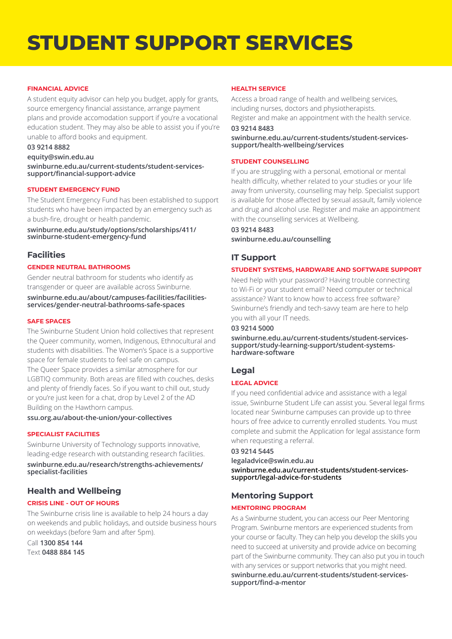# **STUDENT SUPPORT SERVICES**

#### **FINANCIAL ADVICE**

A student equity advisor can help you budget, apply for grants, source emergency financial assistance, arrange payment plans and provide accomodation support if you're a vocational education student. They may also be able to assist you if you're unable to afford books and equipment.

#### **03 9214 8882**

#### **[equity@swin.edu.au](mailto:equity%40swin.edu.au?subject=)**

**[swinburne.edu.au/current-students/student-services](http://www.swinburne.edu.au/current-students/student-services-support/financial-support-advice)[support/financial-support-advice](http://www.swinburne.edu.au/current-students/student-services-support/financial-support-advice)**

#### **STUDENT EMERGENCY FUND**

The [Student Emergency Fund](http://www.swinburne.edu.au/study/options/scholarships/411/swinburne-student-emergency-fund/) has been established to support students who have been impacted by an emergency such as a bush-fire, drought or health pandemic.

**[swinburne.edu.au/study/options/scholarships/411/](http://swinburne.edu.au/study/options/scholarships/411/swinburne-student-emergency-fund/) [swinburne-student-emergency-fund](http://swinburne.edu.au/study/options/scholarships/411/swinburne-student-emergency-fund/)**

## **Facilities**

#### **GENDER NEUTRAL BATHROOMS**

Gender neutral bathroom for students who identify as transgender or queer are available across Swinburne.

**[swinburne.edu.au/about/campuses-facilities/facilities](http://swinburne.edu.au/about/campuses-facilities/facilities-services/gender-neutral-bathrooms-safe-spaces/)[services/gender-neutral-bathrooms-safe-spaces](http://swinburne.edu.au/about/campuses-facilities/facilities-services/gender-neutral-bathrooms-safe-spaces/)**

#### **SAFE SPACES**

The Swinburne Student Union hold collectives that represent the Queer community, women, Indigenous, Ethnocultural and students with disabilities. The Women's Space is a supportive space for female students to feel safe on campus. The Queer Space provides a similar atmosphere for our LGBTIQ community. Both areas are filled with couches, desks and plenty of friendly faces. So if you want to chill out, study or you're just keen for a chat, drop by Level 2 of the AD Building on the Hawthorn campus.

#### **[ssu.org.au/about-the-union/your-collectives](http://ssu.org.au/about-the-union/your-collectives/)**

#### **SPECIALIST FACILITIES**

Swinburne University of Technology supports innovative, leading-edge research with outstanding research facilities.

**[swinburne.edu.au/research/strengths-achievements/](http://swinburne.edu.au/research/strengths-achievements/specialist-facilities/) [specialist-facilities](http://swinburne.edu.au/research/strengths-achievements/specialist-facilities/)**

## **Health and Wellbeing**

#### **CRISIS LINE - OUT OF HOURS**

The Swinburne crisis line is available to help 24 hours a day on weekends and public holidays, and outside business hours on weekdays (before 9am and after 5pm).

Call **1300 854 144**  Text **0488 884 145**

#### **HEALTH SERVICE**

Access a broad range of health and wellbeing services, including nurses, doctors and physiotherapists. Register and make an appointment with the health service.

#### **03 9214 8483**

**[swinburne.edu.au/current-students/student-services](https://www.swinburne.edu.au/current-students/student-services-support/health-wellbeing/services)[support/health-wellbeing/services](https://www.swinburne.edu.au/current-students/student-services-support/health-wellbeing/services)** 

#### **STUDENT COUNSELLING**

If you are struggling with a personal, emotional or mental health difficulty, whether related to your studies or your life away from university, counselling may help. Specialist support is available for those affected by sexual assault, family violence and drug and alcohol use. Register and make an appointment with the counselling services at Wellbeing.

#### **03 9214 8483 [swinburne.edu.au/counselling](https://www.swinburne.edu.au/current-students/student-services-support/health-wellbeing/services/)**

## **IT Support**

#### **STUDENT SYSTEMS, HARDWARE AND SOFTWARE SUPPORT**

Need help with your password? Having trouble connecting to Wi-Fi or your student email? Need computer or technical assistance? Want to know how to access free software? Swinburne's friendly and tech-savvy team are here to help you with all your IT needs.

#### **03 9214 5000**

**[swinburne.edu.au/current-students/student-services](https://www.swinburne.edu.au/current-students/student-services-support/study-learning-support/student-systems-hardware-software/)[support/study-learning-support/student-systems](https://www.swinburne.edu.au/current-students/student-services-support/study-learning-support/student-systems-hardware-software/)[hardware-software](https://www.swinburne.edu.au/current-students/student-services-support/study-learning-support/student-systems-hardware-software/)**

## **Legal**

#### **LEGAL ADVICE**

If you need confidential advice and assistance with a legal issue, Swinburne Student Life can assist you. Several legal firms located near Swinburne campuses can provide up to three hours of free advice to currently enrolled students. You must complete and submit the Application for legal assistance form when requesting a referral.

#### **03 9214 5445**

**[legaladvice@swin.edu.au](mailto:legaladvice%40swin.edu.au?subject=) [swinburne.edu.au/current-students/student-services](https://www.swinburne.edu.au/current-students/student-services-support/legal-advice-for-students)[support/legal-advice-for-students](https://www.swinburne.edu.au/current-students/student-services-support/legal-advice-for-students)**

## **Mentoring Support**

#### **MENTORING PROGRAM**

As a Swinburne student, you can access our Peer Mentoring Program. Swinburne mentors are experienced students from your course or faculty. They can help you develop the skills you need to succeed at university and provide advice on becoming part of the Swinburne community. They can also put you in touch with any services or support networks that you might need. **[swinburne.edu.au/current-students/student-services](http://swinburne.edu.au/current-students/student-services-support/find-a-mentor)[support/find-a-mentor](http://swinburne.edu.au/current-students/student-services-support/find-a-mentor)**